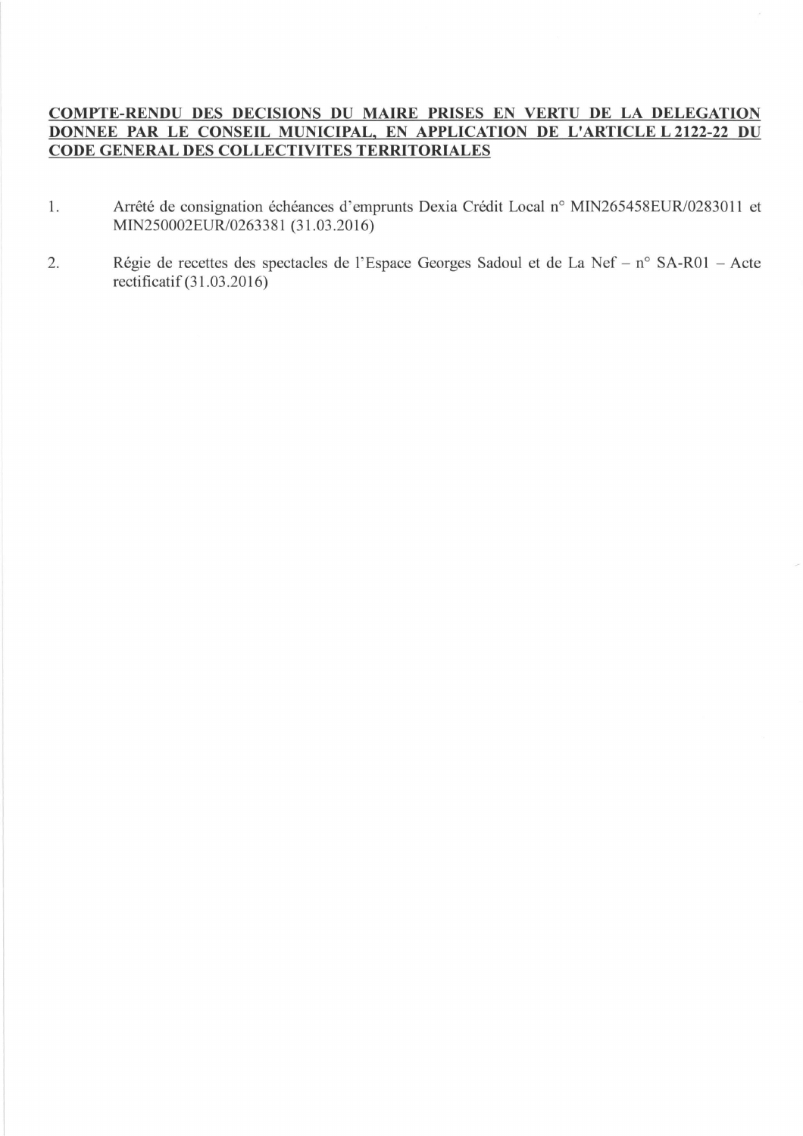## **COMPTE-RENDU DES DECISIONS DU MAIRE PRISES EN VERTU DE LA DELEGATION DONNEE PAR LE CONSEIL MUNICIPAL, EN APPLICATION DE L'ARTICLE L 2122-22 DU CODE GENERAL DES COLLECTIVITES TERRITORIALES**

- 1. Arrêté de consignation échéances d'emprunts Dexia Crédit Local n° MIN265458EUR/0283011 et MIN250002EUR/0263381 (31.03.2016)
- 2. Régie de recettes des spectacles de l'Espace Georges Sadoul et de La Nef n° SA-ROI Acte rectificatif (31.03.2016)